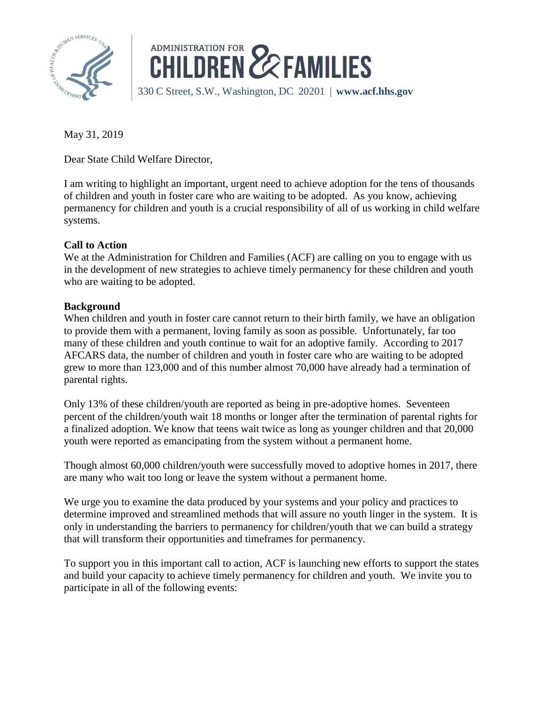



May 31, 2019

Dear State Child Welfare Director,

I am writing to highlight an important, urgent need to achieve adoption for the tens of thousands of children and youth in foster care who are waiting to be adopted. As you know, achieving permanency for children and youth is a crucial responsibility of all of us working in child welfare systems.

## **Call to Action**

We at the Administration for Children and Families (ACF) are calling on you to engage with us in the development of new strategies to achieve timely permanency for these children and youth who are waiting to be adopted.

## **Background**

When children and youth in foster care cannot return to their birth family, we have an obligation to provide them with a permanent, loving family as soon as possible. Unfortunately, far too many of these children and youth continue to wait for an adoptive family. According to 2017 AFCARS data, the number of children and youth in foster care who are waiting to be adopted grew to more than 123,000 and of this number almost 70,000 have already had a termination of parental rights.

Only 13% of these children/youth are reported as being in pre-adoptive homes. Seventeen percent of the children/youth wait 18 months or longer after the termination of parental rights for a finalized adoption. We know that teens wait twice as long as younger children and that 20,000 youth were reported as emancipating from the system without a permanent home.

Though almost 60,000 children/youth were successfully moved to adoptive homes in 2017, there are many who wait too long or leave the system without a permanent home.

We urge you to examine the data produced by your systems and your policy and practices to determine improved and streamlined methods that will assure no youth linger in the system. It is only in understanding the barriers to permanency for children/youth that we can build a strategy that will transform their opportunities and timeframes for permanency.

To support you in this important call to action, ACF is launching new efforts to support the states and build your capacity to achieve timely permanency for children and youth. We invite you to participate in all of the following events: